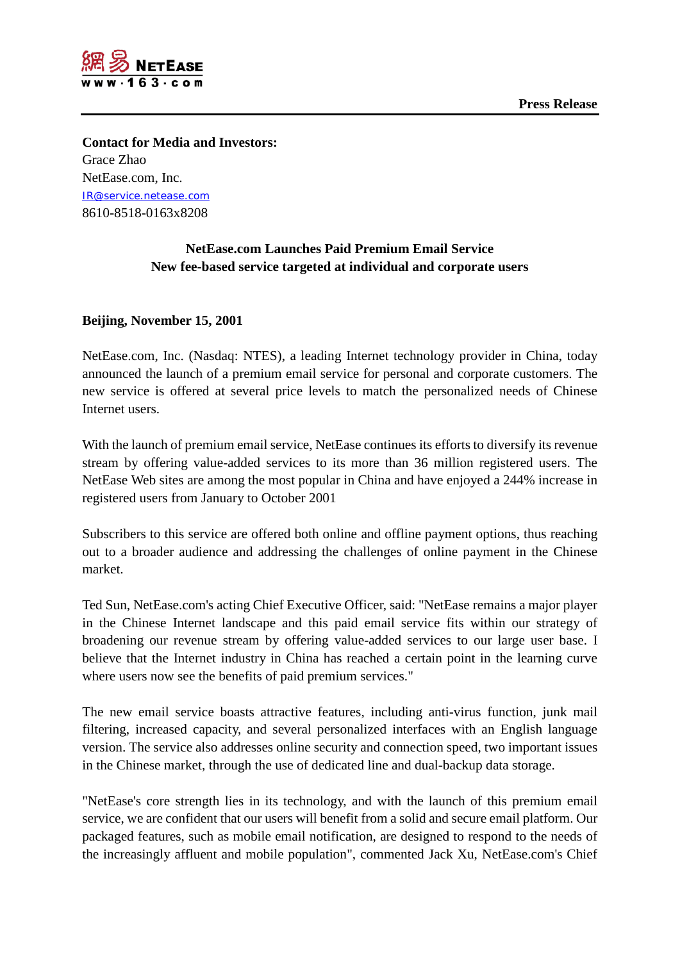



**Contact for Media and Investors:** Grace Zhao NetEase.com, Inc. [IR@service.netease.com](mailto:IR@service.netease.com) 8610-8518-0163x8208

## **NetEase.com Launches Paid Premium Email Service New fee-based service targeted at individual and corporate users**

## **Beijing, November 15, 2001**

NetEase.com, Inc. (Nasdaq: NTES), a leading Internet technology provider in China, today announced the launch of a premium email service for personal and corporate customers. The new service is offered at several price levels to match the personalized needs of Chinese Internet users.

With the launch of premium email service, NetEase continues its efforts to diversify its revenue stream by offering value-added services to its more than 36 million registered users. The NetEase Web sites are among the most popular in China and have enjoyed a 244% increase in registered users from January to October 2001

Subscribers to this service are offered both online and offline payment options, thus reaching out to a broader audience and addressing the challenges of online payment in the Chinese market.

Ted Sun, NetEase.com's acting Chief Executive Officer, said: "NetEase remains a major player in the Chinese Internet landscape and this paid email service fits within our strategy of broadening our revenue stream by offering value-added services to our large user base. I believe that the Internet industry in China has reached a certain point in the learning curve where users now see the benefits of paid premium services."

The new email service boasts attractive features, including anti-virus function, junk mail filtering, increased capacity, and several personalized interfaces with an English language version. The service also addresses online security and connection speed, two important issues in the Chinese market, through the use of dedicated line and dual-backup data storage.

"NetEase's core strength lies in its technology, and with the launch of this premium email service, we are confident that our users will benefit from a solid and secure email platform. Our packaged features, such as mobile email notification, are designed to respond to the needs of the increasingly affluent and mobile population", commented Jack Xu, NetEase.com's Chief